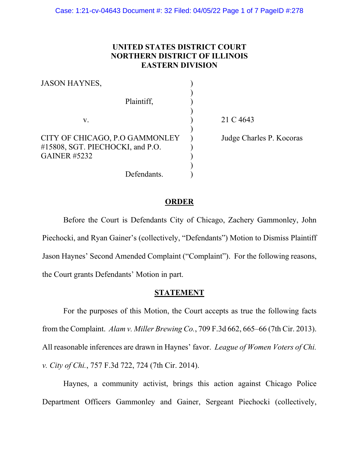# **UNITED STATES DISTRICT COURT NORTHERN DISTRICT OF ILLINOIS EASTERN DIVISION**

| <b>JASON HAYNES,</b>                                                                      |                          |  |
|-------------------------------------------------------------------------------------------|--------------------------|--|
| Plaintiff,                                                                                |                          |  |
| V.                                                                                        | 21 C 4643                |  |
| CITY OF CHICAGO, P.O GAMMONLEY<br>#15808, SGT. PIECHOCKI, and P.O.<br><b>GAINER #5232</b> | Judge Charles P. Kocoras |  |
| Defendants.                                                                               |                          |  |

# **ORDER**

Before the Court is Defendants City of Chicago, Zachery Gammonley, John Piechocki, and Ryan Gainer's (collectively, "Defendants") Motion to Dismiss Plaintiff Jason Haynes' Second Amended Complaint ("Complaint"). For the following reasons, the Court grants Defendants' Motion in part.

# **STATEMENT**

For the purposes of this Motion, the Court accepts as true the following facts from the Complaint. *Alam v. Miller Brewing Co.*, 709 F.3d 662, 665–66 (7th Cir. 2013). All reasonable inferences are drawn in Haynes' favor. *League of Women Voters of Chi. v. City of Chi.*, 757 F.3d 722, 724 (7th Cir. 2014).

Haynes, a community activist, brings this action against Chicago Police Department Officers Gammonley and Gainer, Sergeant Piechocki (collectively,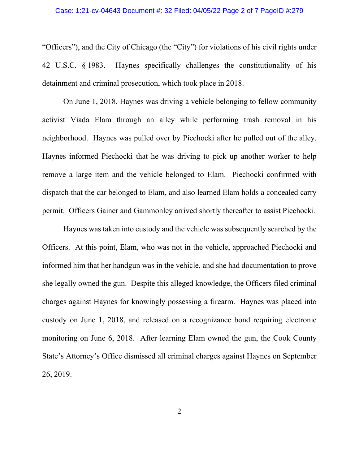"Officers"), and the City of Chicago (the "City") for violations of his civil rights under 42 U.S.C. § 1983. Haynes specifically challenges the constitutionality of his detainment and criminal prosecution, which took place in 2018.

On June 1, 2018, Haynes was driving a vehicle belonging to fellow community activist Viada Elam through an alley while performing trash removal in his neighborhood. Haynes was pulled over by Piechocki after he pulled out of the alley. Haynes informed Piechocki that he was driving to pick up another worker to help remove a large item and the vehicle belonged to Elam. Piechocki confirmed with dispatch that the car belonged to Elam, and also learned Elam holds a concealed carry permit. Officers Gainer and Gammonley arrived shortly thereafter to assist Piechocki.

Haynes was taken into custody and the vehicle was subsequently searched by the Officers. At this point, Elam, who was not in the vehicle, approached Piechocki and informed him that her handgun was in the vehicle, and she had documentation to prove she legally owned the gun. Despite this alleged knowledge, the Officers filed criminal charges against Haynes for knowingly possessing a firearm. Haynes was placed into custody on June 1, 2018, and released on a recognizance bond requiring electronic monitoring on June 6, 2018. After learning Elam owned the gun, the Cook County State's Attorney's Office dismissed all criminal charges against Haynes on September 26, 2019.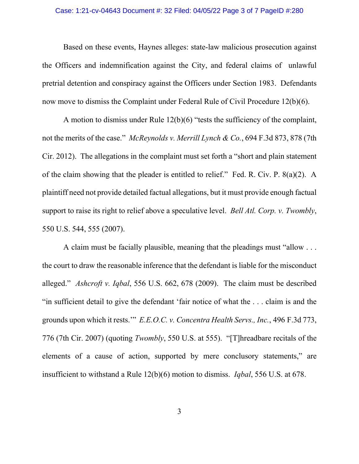#### Case: 1:21-cv-04643 Document #: 32 Filed: 04/05/22 Page 3 of 7 PageID #:280

Based on these events, Haynes alleges: state-law malicious prosecution against the Officers and indemnification against the City, and federal claims of unlawful pretrial detention and conspiracy against the Officers under Section 1983. Defendants now move to dismiss the Complaint under Federal Rule of Civil Procedure 12(b)(6).

A motion to dismiss under Rule 12(b)(6) "tests the sufficiency of the complaint, not the merits of the case." *McReynolds v. Merrill Lynch & Co.*, 694 F.3d 873, 878 (7th Cir. 2012). The allegations in the complaint must set forth a "short and plain statement of the claim showing that the pleader is entitled to relief." Fed. R. Civ. P. 8(a)(2). A plaintiff need not provide detailed factual allegations, but it must provide enough factual support to raise its right to relief above a speculative level. *Bell Atl. Corp. v. Twombly*, 550 U.S. 544, 555 (2007).

A claim must be facially plausible, meaning that the pleadings must "allow . . . the court to draw the reasonable inference that the defendant is liable for the misconduct alleged." *Ashcroft v. Iqbal*, 556 U.S. 662, 678 (2009). The claim must be described "in sufficient detail to give the defendant 'fair notice of what the . . . claim is and the grounds upon which it rests.'" *E.E.O.C. v. Concentra Health Servs., Inc.*, 496 F.3d 773, 776 (7th Cir. 2007) (quoting *Twombly*, 550 U.S. at 555). "[T]hreadbare recitals of the elements of a cause of action, supported by mere conclusory statements," are insufficient to withstand a Rule 12(b)(6) motion to dismiss. *Iqbal*, 556 U.S. at 678.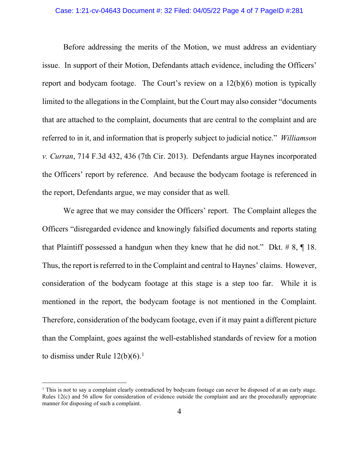#### Case: 1:21-cv-04643 Document #: 32 Filed: 04/05/22 Page 4 of 7 PageID #:281

Before addressing the merits of the Motion, we must address an evidentiary issue. In support of their Motion, Defendants attach evidence, including the Officers' report and bodycam footage. The Court's review on a 12(b)(6) motion is typically limited to the allegations in the Complaint, but the Court may also consider "documents that are attached to the complaint, documents that are central to the complaint and are referred to in it, and information that is properly subject to judicial notice." *Williamson v. Curran*, 714 F.3d 432, 436 (7th Cir. 2013). Defendants argue Haynes incorporated the Officers' report by reference. And because the bodycam footage is referenced in the report, Defendants argue, we may consider that as well.

We agree that we may consider the Officers' report. The Complaint alleges the Officers "disregarded evidence and knowingly falsified documents and reports stating that Plaintiff possessed a handgun when they knew that he did not." Dkt.  $\# 8, \P 18$ . Thus, the report is referred to in the Complaint and central to Haynes' claims. However, consideration of the bodycam footage at this stage is a step too far. While it is mentioned in the report, the bodycam footage is not mentioned in the Complaint. Therefore, consideration of the bodycam footage, even if it may paint a different picture than the Complaint, goes against the well-established standards of review for a motion to dismiss under Rule  $12(b)(6)$  $12(b)(6)$ .<sup>1</sup>

<span id="page-3-0"></span><sup>&</sup>lt;sup>1</sup> This is not to say a complaint clearly contradicted by bodycam footage can never be disposed of at an early stage. Rules 12(c) and 56 allow for consideration of evidence outside the complaint and are the procedurally appropriate manner for disposing of such a complaint.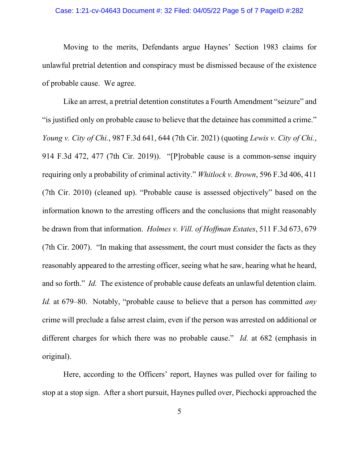### Case: 1:21-cv-04643 Document #: 32 Filed: 04/05/22 Page 5 of 7 PageID #:282

Moving to the merits, Defendants argue Haynes' Section 1983 claims for unlawful pretrial detention and conspiracy must be dismissed because of the existence of probable cause. We agree.

Like an arrest, a pretrial detention constitutes a Fourth Amendment "seizure" and "is justified only on probable cause to believe that the detainee has committed a crime." *Young v. City of Chi.*, 987 F.3d 641, 644 (7th Cir. 2021) (quoting *Lewis v. City of Chi.*, 914 F.3d 472, 477 (7th Cir. 2019)). "[P]robable cause is a common-sense inquiry requiring only a probability of criminal activity." *Whitlock v. Brown*, 596 F.3d 406, 411 (7th Cir. 2010) (cleaned up). "Probable cause is assessed objectively" based on the information known to the arresting officers and the conclusions that might reasonably be drawn from that information. *Holmes v. Vill. of Hoffman Estates*, 511 F.3d 673, 679 (7th Cir. 2007). "In making that assessment, the court must consider the facts as they reasonably appeared to the arresting officer, seeing what he saw, hearing what he heard, and so forth." *Id.* The existence of probable cause defeats an unlawful detention claim. *Id.* at 679–80. Notably, "probable cause to believe that a person has committed *any* crime will preclude a false arrest claim, even if the person was arrested on additional or different charges for which there was no probable cause." *Id.* at 682 (emphasis in original).

Here, according to the Officers' report, Haynes was pulled over for failing to stop at a stop sign. After a short pursuit, Haynes pulled over, Piechocki approached the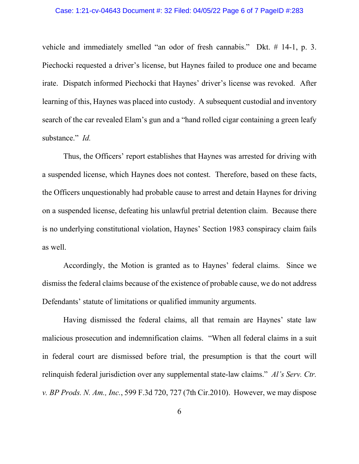#### Case: 1:21-cv-04643 Document #: 32 Filed: 04/05/22 Page 6 of 7 PageID #:283

vehicle and immediately smelled "an odor of fresh cannabis." Dkt. # 14-1, p. 3. Piechocki requested a driver's license, but Haynes failed to produce one and became irate. Dispatch informed Piechocki that Haynes' driver's license was revoked. After learning of this, Haynes was placed into custody. A subsequent custodial and inventory search of the car revealed Elam's gun and a "hand rolled cigar containing a green leafy substance." *Id.*

Thus, the Officers' report establishes that Haynes was arrested for driving with a suspended license, which Haynes does not contest. Therefore, based on these facts, the Officers unquestionably had probable cause to arrest and detain Haynes for driving on a suspended license, defeating his unlawful pretrial detention claim. Because there is no underlying constitutional violation, Haynes' Section 1983 conspiracy claim fails as well.

Accordingly, the Motion is granted as to Haynes' federal claims. Since we dismiss the federal claims because of the existence of probable cause, we do not address Defendants' statute of limitations or qualified immunity arguments.

Having dismissed the federal claims, all that remain are Haynes' state law malicious prosecution and indemnification claims. "When all federal claims in a suit in federal court are dismissed before trial, the presumption is that the court will relinquish federal jurisdiction over any supplemental state-law claims." *Al's Serv. Ctr. v. BP Prods. N. Am., Inc.*, 599 F.3d 720, 727 (7th Cir.2010). However, we may dispose